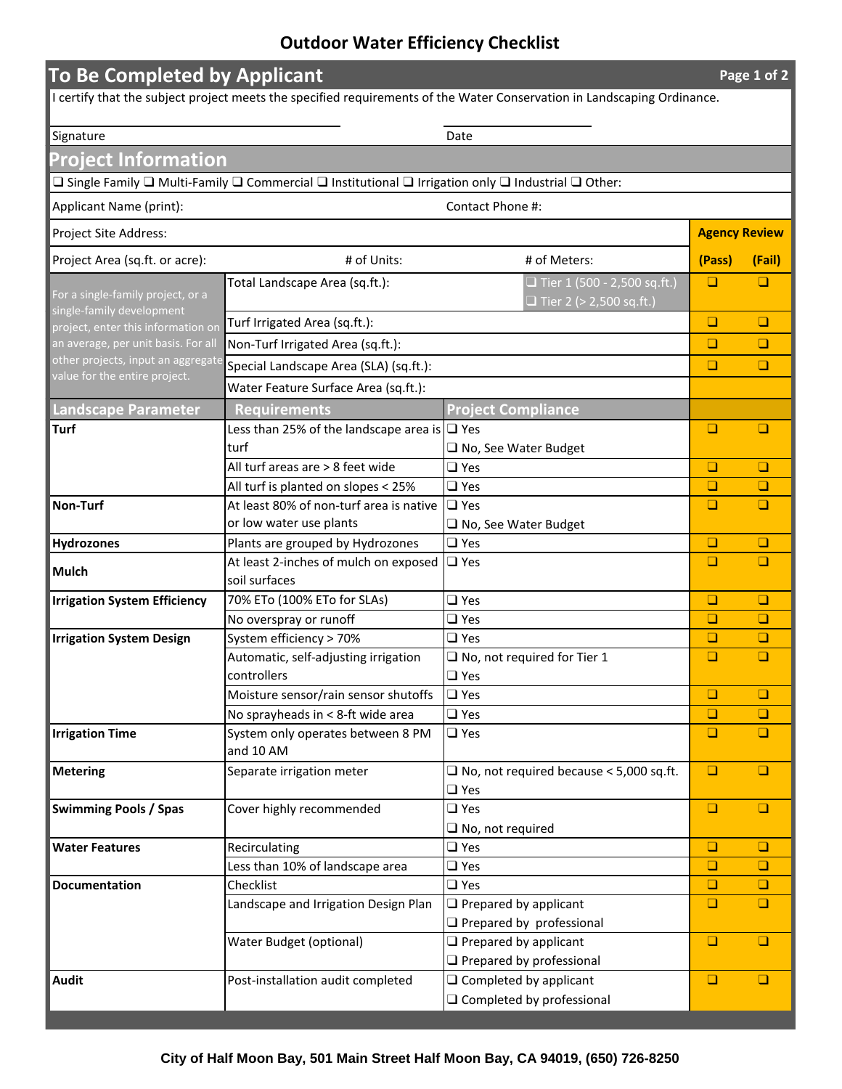## **Outdoor Water Efficiency Checklist**

| <b>To Be Completed by Applicant</b><br>Page 1 of 2                                                                      |                                                                                                                                                             |                                                                      |                      |        |  |
|-------------------------------------------------------------------------------------------------------------------------|-------------------------------------------------------------------------------------------------------------------------------------------------------------|----------------------------------------------------------------------|----------------------|--------|--|
| I certify that the subject project meets the specified requirements of the Water Conservation in Landscaping Ordinance. |                                                                                                                                                             |                                                                      |                      |        |  |
|                                                                                                                         |                                                                                                                                                             |                                                                      |                      |        |  |
| Signature                                                                                                               |                                                                                                                                                             | Date                                                                 |                      |        |  |
| Project Information                                                                                                     |                                                                                                                                                             |                                                                      |                      |        |  |
|                                                                                                                         | $\square$ Single Family $\square$ Multi-Family $\square$ Commercial $\square$ Institutional $\square$ Irrigation only $\square$ Industrial $\square$ Other: |                                                                      |                      |        |  |
| Applicant Name (print):<br>Contact Phone #:                                                                             |                                                                                                                                                             |                                                                      |                      |        |  |
| Project Site Address:                                                                                                   |                                                                                                                                                             |                                                                      | <b>Agency Review</b> |        |  |
| Project Area (sq.ft. or acre):                                                                                          | # of Units:                                                                                                                                                 | # of Meters:                                                         | (Pass)               | (Fail) |  |
| For a single-family project, or a                                                                                       | Total Landscape Area (sq.ft.):                                                                                                                              | $\Box$ Tier 1 (500 - 2,500 sq.ft.)<br>$\Box$ Tier 2 (> 2,500 sq.ft.) | $\Box$               | $\Box$ |  |
| single-family development<br>project, enter this information on                                                         | Turf Irrigated Area (sq.ft.):                                                                                                                               |                                                                      | $\Box$               | $\Box$ |  |
| an average, per unit basis. For all                                                                                     | Non-Turf Irrigated Area (sq.ft.):                                                                                                                           |                                                                      | $\Box$               | $\Box$ |  |
| other projects, input an aggregate                                                                                      | Special Landscape Area (SLA) (sq.ft.):<br>Water Feature Surface Area (sq.ft.):                                                                              |                                                                      | $\Box$               | $\Box$ |  |
| value for the entire project.                                                                                           |                                                                                                                                                             |                                                                      |                      |        |  |
| <b>Landscape Parameter</b>                                                                                              | <b>Requirements</b>                                                                                                                                         | <b>Project Compliance</b>                                            |                      |        |  |
| <b>Turf</b>                                                                                                             | Less than 25% of the landscape area is $\Box$ Yes                                                                                                           |                                                                      | $\Box$               | $\Box$ |  |
|                                                                                                                         | turf                                                                                                                                                        | $\Box$ No, See Water Budget                                          |                      |        |  |
|                                                                                                                         | All turf areas are > 8 feet wide                                                                                                                            | $\Box$ Yes                                                           | $\Box$               | $\Box$ |  |
|                                                                                                                         | All turf is planted on slopes < 25%                                                                                                                         | $\Box$ Yes                                                           | $\Box$               | $\Box$ |  |
| Non-Turf                                                                                                                | At least 80% of non-turf area is native                                                                                                                     | $\Box$ Yes                                                           | $\Box$               | $\Box$ |  |
|                                                                                                                         | or low water use plants                                                                                                                                     | $\Box$ No, See Water Budget                                          |                      |        |  |
| Hydrozones                                                                                                              | Plants are grouped by Hydrozones                                                                                                                            | $\Box$ Yes                                                           | $\Box$               | $\Box$ |  |
| <b>Mulch</b>                                                                                                            | At least 2-inches of mulch on exposed<br>soil surfaces                                                                                                      | $\Box$ Yes                                                           | $\Box$               | $\Box$ |  |
| <b>Irrigation System Efficiency</b>                                                                                     | 70% ETo (100% ETo for SLAs)                                                                                                                                 | $\Box$ Yes                                                           | $\Box$               | $\Box$ |  |
|                                                                                                                         | No overspray or runoff                                                                                                                                      | $\Box$ Yes                                                           | $\Box$               | $\Box$ |  |
| <b>Irrigation System Design</b>                                                                                         | System efficiency > 70%                                                                                                                                     | $\Box$ Yes                                                           | $\Box$               | $\Box$ |  |
|                                                                                                                         | Automatic, self-adjusting irrigation<br>controllers                                                                                                         | $\square$ No, not required for Tier 1<br>$\Box$ Yes                  | $\Box$               | $\Box$ |  |
|                                                                                                                         | Moisture sensor/rain sensor shutoffs                                                                                                                        | $\square$ Yes                                                        | $\Box$               | $\Box$ |  |
|                                                                                                                         | No sprayheads in < 8-ft wide area                                                                                                                           | $\square$ Yes                                                        | $\Box$               | $\Box$ |  |
| <b>Irrigation Time</b>                                                                                                  | System only operates between 8 PM<br>and 10 AM                                                                                                              | $\square$ Yes                                                        | $\Box$               | $\Box$ |  |
| <b>Metering</b>                                                                                                         | Separate irrigation meter                                                                                                                                   | $\Box$ No, not required because < 5,000 sq.ft.<br>$\square$ Yes      | $\Box$               | $\Box$ |  |
| <b>Swimming Pools / Spas</b>                                                                                            | Cover highly recommended                                                                                                                                    | $\Box$ Yes                                                           | $\Box$               | $\Box$ |  |
|                                                                                                                         |                                                                                                                                                             | $\square$ No, not required                                           |                      |        |  |
| <b>Water Features</b>                                                                                                   | Recirculating                                                                                                                                               | $\Box$ Yes                                                           | $\Box$               | $\Box$ |  |
|                                                                                                                         | Less than 10% of landscape area                                                                                                                             | $\square$ Yes                                                        | $\Box$               | $\Box$ |  |
| <b>Documentation</b>                                                                                                    | Checklist                                                                                                                                                   | $\square$ Yes                                                        | $\Box$               | $\Box$ |  |
|                                                                                                                         | Landscape and Irrigation Design Plan                                                                                                                        | $\Box$ Prepared by applicant                                         | $\Box$               | $\Box$ |  |
|                                                                                                                         |                                                                                                                                                             | $\Box$ Prepared by professional                                      |                      |        |  |
|                                                                                                                         | Water Budget (optional)                                                                                                                                     | $\Box$ Prepared by applicant                                         | $\Box$               | $\Box$ |  |
| <b>Audit</b>                                                                                                            |                                                                                                                                                             | $\Box$ Prepared by professional                                      | $\Box$               | $\Box$ |  |
|                                                                                                                         | Post-installation audit completed                                                                                                                           | $\Box$ Completed by applicant                                        |                      |        |  |
|                                                                                                                         |                                                                                                                                                             | $\Box$ Completed by professional                                     |                      |        |  |